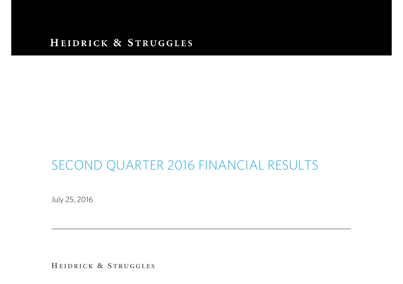#### HEIDRICK & STRUGGLES

# SECOND QUARTER 2016 FINANCIAL RESULTS

July 25, 2016

HEIDRICK & STRUGGLES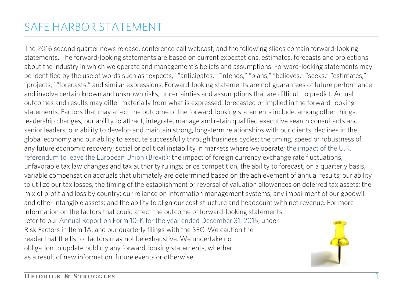# SAFE HARBOR STATEMENT

The 2016 second quarter news release, conference call webcast, and the following slides contain forward-looking statements. The forward-looking statements are based on current expectations, estimates, forecasts and projections about the industry in which we operate and management's beliefs and assumptions. Forward-looking statements may be identified by the use of words such as "expects," "anticipates," "intends," "plans," "believes," "seeks," "estimates," "projects," "forecasts," and similar expressions. Forward-looking statements are not guarantees of future performance and involve certain known and unknown risks, uncertainties and assumptions that are difficult to predict. Actual outcomes and results may differ materially from what is expressed, forecasted or implied in the forward-looking statements. Factors that may affect the outcome of the forward-looking statements include, among other things, leadership changes, our ability to attract, integrate, manage and retain qualified executive search consultants and senior leaders; our ability to develop and maintain strong, long-term relationships with our clients; declines in the global economy and our ability to execute successfully through business cycles; the timing, speed or robustness of any future economic recovery; social or political instability in markets where we operate; the impact of the U.K. referendum to leave the European Union (Brexit); the impact of foreign currency exchange rate fluctuations; unfavorable tax law changes and tax authority rulings; price competition; the ability to forecast, on a quarterly basis, variable compensation accruals that ultimately are determined based on the achievement of annual results; our ability to utilize our tax losses; the timing of the establishment or reversal of valuation allowances on deferred tax assets; the mix of profit and loss by country; our reliance on information management systems; any impairment of our goodwill and other intangible assets; and the ability to align our cost structure and headcount with net revenue. For more information on the factors that could affect the outcome of forward-looking statements, refer to our Annual Report on Form 10-K for the year ended December 31, 2015, under Risk Factors in Item 1A, and our quarterly filings with the SEC. We caution the reader that the list of factors may not be exhaustive. We undertake no obligation to update publicly any forward-looking statements, whether as a result of new information, future events or otherwise.

1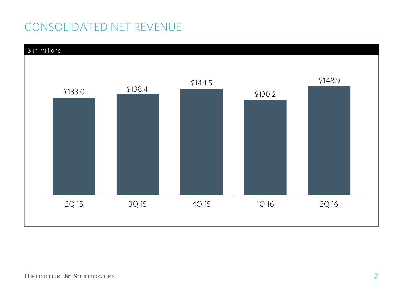# CONSOLIDATED NET REVENUE

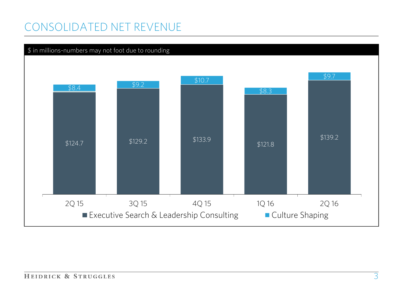## CONSOLIDATED NET REVENUE

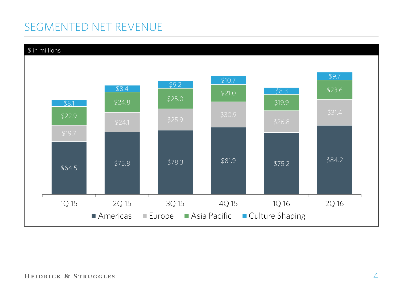# SEGMENTED NET REVENUE

#### \$ in millions

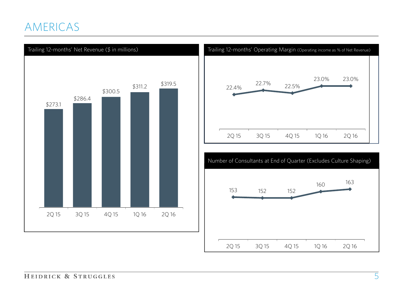## AMERICAS





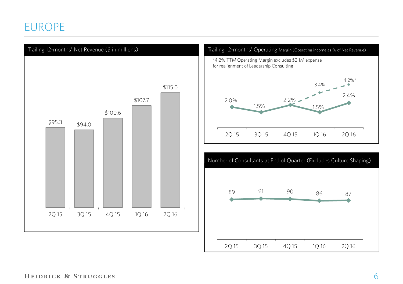## EUROPE

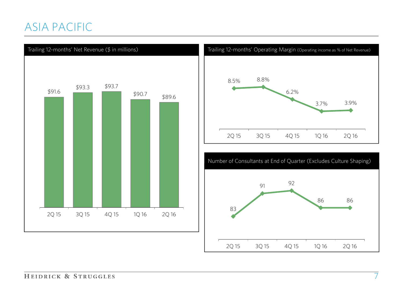## ASIA PACIFIC





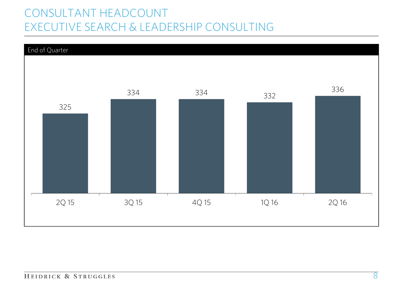# CONSULTANT HEADCOUNT EXECUTIVE SEARCH & LEADERSHIP CONSULTING

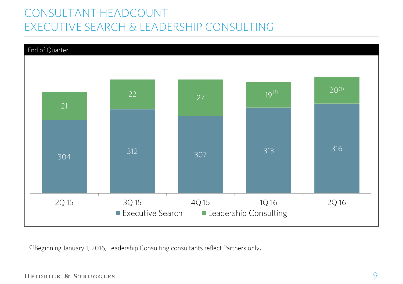# CONSULTANT HEADCOUNT EXECUTIVE SEARCH & LEADERSHIP CONSULTING



(1)Beginning January 1, 2016, Leadership Consulting consultants reflect Partners only.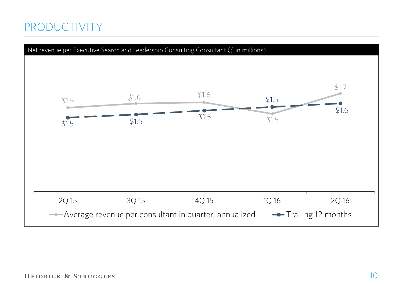## PRODUCTIVITY

![](_page_10_Figure_1.jpeg)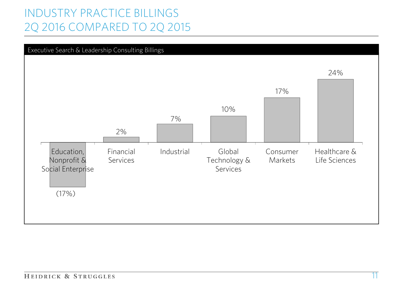# INDUSTRY PRACTICE BILLINGS 2Q 2016 COMPARED TO 2Q 2015

![](_page_11_Figure_1.jpeg)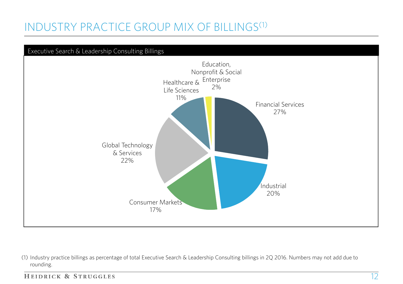# INDUSTRY PRACTICE GROUP MIX OF BILLINGS(1)

![](_page_12_Figure_1.jpeg)

(1) Industry practice billings as percentage of total Executive Search & Leadership Consulting billings in 2Q 2016. Numbers may not add due to rounding.

HEIDRICK & STRUGGLES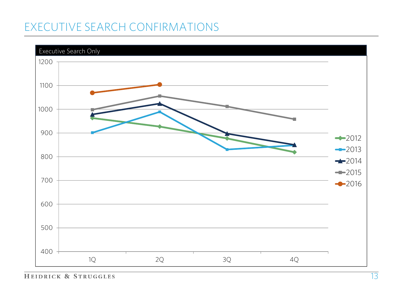# EXECUTIVE SEARCH CONFIRMATIONS

![](_page_13_Figure_1.jpeg)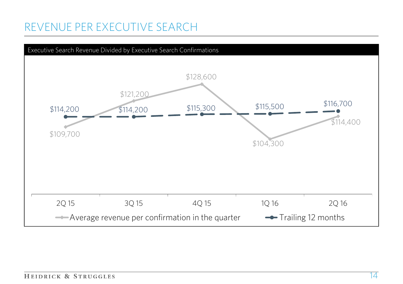## REVENUE PER EXECUTIVE SEARCH

![](_page_14_Figure_1.jpeg)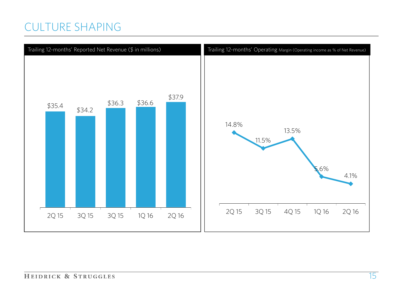### CULTURE SHAPING

![](_page_15_Figure_1.jpeg)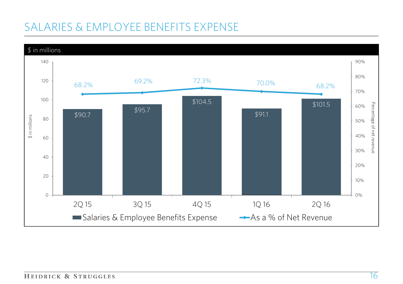# SALARIES & EMPLOYEE BENEFITS EXPENSE

![](_page_16_Figure_1.jpeg)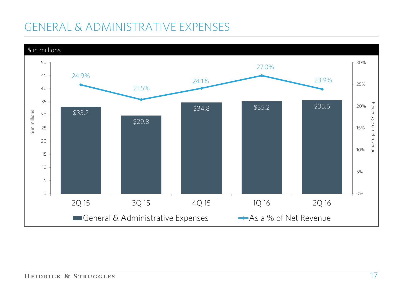# GENERAL & ADMINISTRATIVE EXPENSES

![](_page_17_Figure_1.jpeg)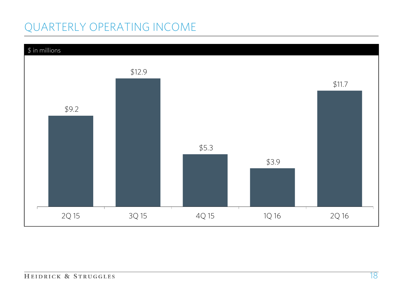# QUARTERLY OPERATING INCOME

![](_page_18_Figure_1.jpeg)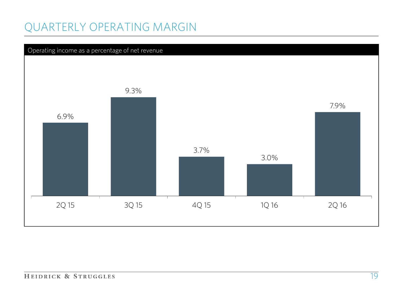## QUARTERLY OPERATING MARGIN

![](_page_19_Figure_1.jpeg)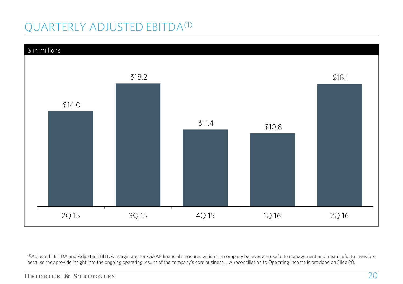# QUARTERLY ADJUSTED EBITDA(1)

![](_page_20_Figure_1.jpeg)

<sup>(1)</sup>Adjusted EBITDA and Adjusted EBITDA margin are non-GAAP financial measures which the company believes are useful to management and meaningful to investors because they provide insight into the ongoing operating results of the company's core business. . A reconciliation to Operating Income is provided on Slide 20.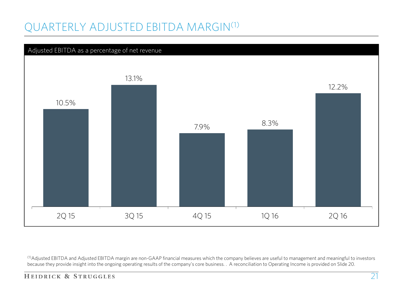# QUARTERLY ADJUSTED EBITDA MARGIN(1)

![](_page_21_Figure_1.jpeg)

(1)Adjusted EBITDA and Adjusted EBITDA margin are non-GAAP financial measures which the company believes are useful to management and meaningful to investors because they provide insight into the ongoing operating results of the company's core business. . A reconciliation to Operating Income is provided on Slide 20.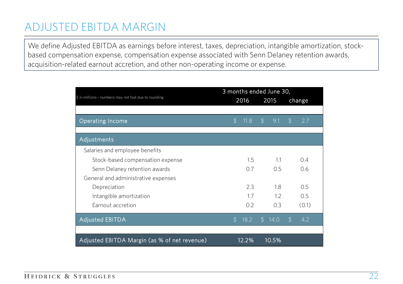## ADJUSTED EBITDA MARGIN

We define Adjusted EBITDA as earnings before interest, taxes, depreciation, intangible amortization, stockbased compensation expense, compensation expense associated with Senn Delaney retention awards, acquisition-related earnout accretion, and other non-operating income or expense.

|                                                       | 3 months ended June 30, |       |                |       |               |        |
|-------------------------------------------------------|-------------------------|-------|----------------|-------|---------------|--------|
| \$ in millions-- numbers may not foot due to rounding |                         | 2016  |                | 2015  |               | change |
|                                                       |                         |       |                |       |               |        |
| <b>Operating Income</b>                               | $\mathfrak{D}$          | 11.8  | $\mathfrak{D}$ | 9.1   | $\mathcal{L}$ | 2.7    |
|                                                       |                         |       |                |       |               |        |
| Adjustments                                           |                         |       |                |       |               |        |
| Salaries and employee benefits                        |                         |       |                |       |               |        |
| Stock-based compensation expense                      |                         | 1.5   |                | 1.1   |               | 0.4    |
| Senn Delaney retention awards                         |                         | 0.7   |                | 0.5   |               | 0.6    |
| General and administrative expenses                   |                         |       |                |       |               |        |
| Depreciation                                          |                         | 2.3   |                | 1.8   |               | 0.5    |
| Intangible amortization                               |                         | 1.7   |                | 1.2   |               | 0.5    |
| Earnout accretion                                     |                         | 0.2   |                | 0.3   |               | (0.1)  |
| <b>Adjusted EBITDA</b>                                | S                       | 18.2  | $\mathcal{L}$  | 14.0  | $\mathcal{L}$ | 4.2    |
|                                                       |                         |       |                |       |               |        |
| Adjusted EBITDA Margin (as % of net revenue)          |                         | 12.2% |                | 10.5% |               |        |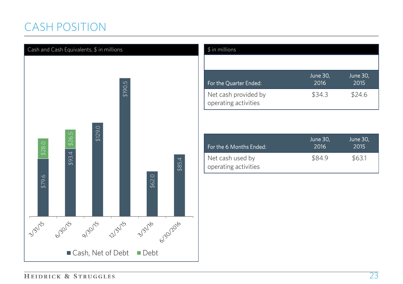# CASH POSITION

![](_page_23_Figure_1.jpeg)

| $$$ in millions                              |                  |                  |
|----------------------------------------------|------------------|------------------|
|                                              |                  |                  |
| For the Quarter Ended:                       | June 30,<br>2016 | June 30,<br>2015 |
| Net cash provided by<br>operating activities | \$34.3           | \$24.6           |

| For the 6 Months Ended:                  | June 30,<br>2016 | June 30,<br>2015 |
|------------------------------------------|------------------|------------------|
| Net cash used by<br>operating activities | \$84.9           | \$63.1           |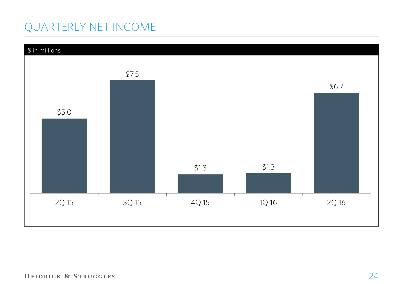# QUARTERLY NET INCOME

![](_page_24_Figure_1.jpeg)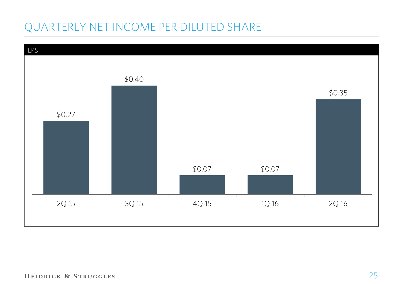# QUARTERLY NET INCOME PER DILUTED SHARE

![](_page_25_Figure_1.jpeg)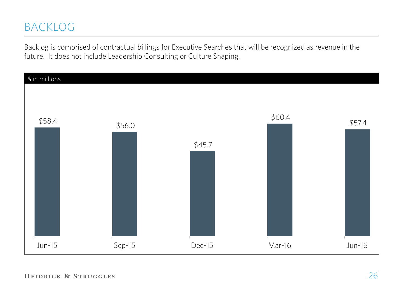## BACKLOG

Backlog is comprised of contractual billings for Executive Searches that will be recognized as revenue in the future. It does not include Leadership Consulting or Culture Shaping.

![](_page_26_Figure_2.jpeg)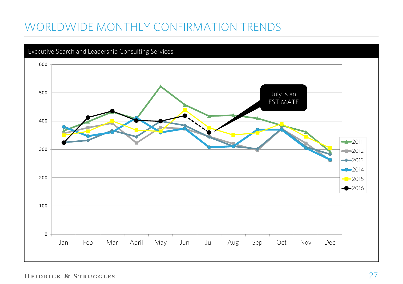# WORLDWIDE MONTHLY CONFIRMATION TRENDS

![](_page_27_Figure_1.jpeg)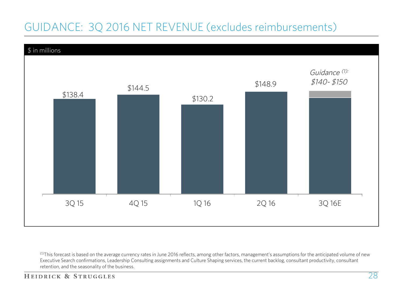# GUIDANCE: 3Q 2016 NET REVENUE (excludes reimbursements)

![](_page_28_Figure_1.jpeg)

 $^{(1)}$ This forecast is based on the average currency rates in June 2016 reflects, among other factors, management's assumptions for the anticipated volume of new Executive Search confirmations, Leadership Consulting assignments and Culture Shaping services, the current backlog, consultant productivity, consultant retention, and the seasonality of the business.